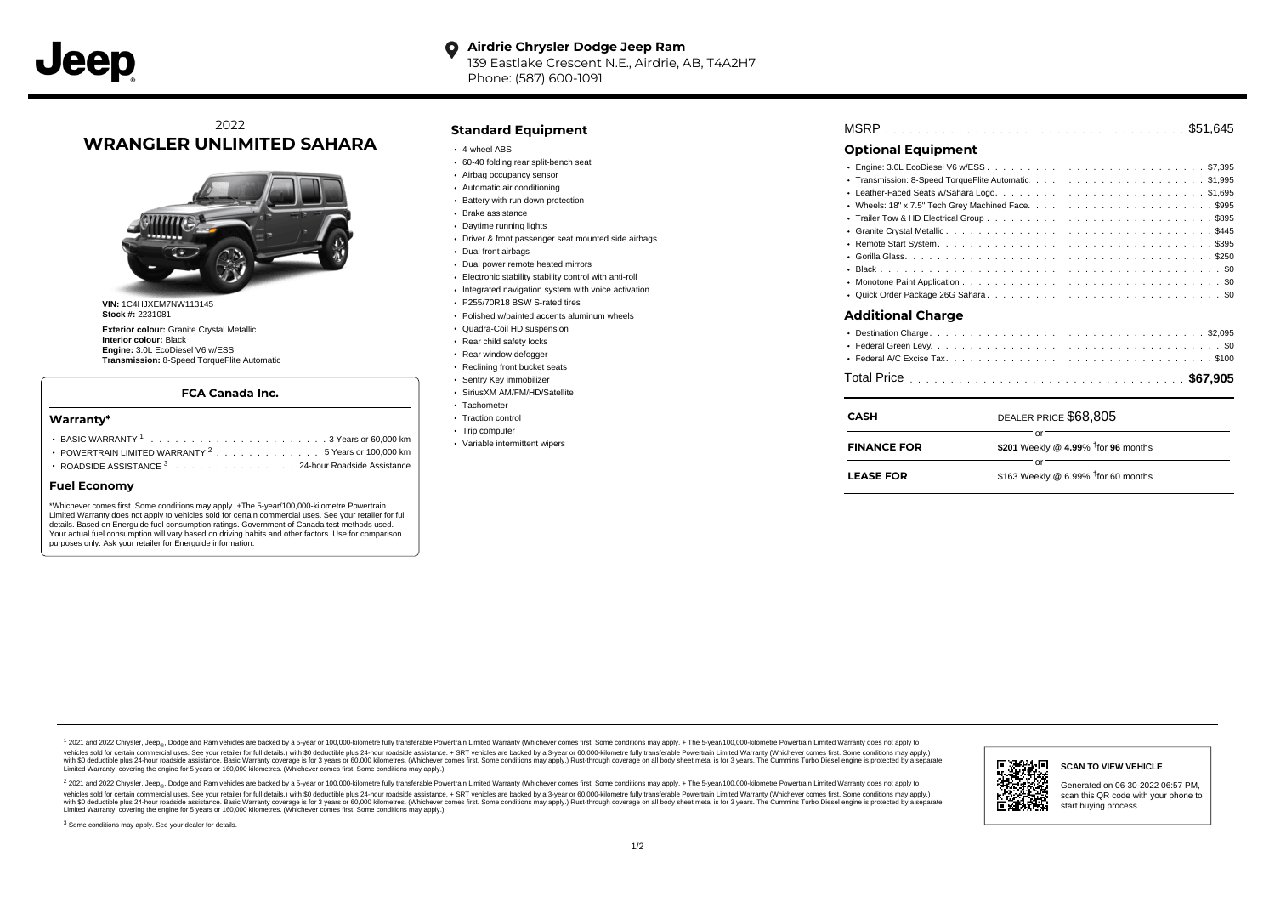#### **Airdrie Chrysler Dodge Jeep Ram**  $\bullet$ 139 Eastlake Crescent N.E., Airdrie, AB, T4A2H7 Phone: (587) 600-1091

# 2022 **WRANGLER UNLIMITED SAHARA**



**VIN:** 1C4HJXEM7NW113145 Stock #: 2231081

**Exterior colour:** Granite Crystal Metallic **Interior colour:** Black **Engine:** 3.0L EcoDiesel V6 w/ESS **Transmission:** 8-Speed TorqueFlite Automatic

### **FCA Canada Inc.**

#### **Warranty\***

| POWERTRAIN LIMITED WARRANTY $2, \ldots, \ldots, \ldots, \ldots, 5$ Years or 100,000 km |  |  |  |  |  |  |
|----------------------------------------------------------------------------------------|--|--|--|--|--|--|
| ROADSIDE ASSISTANCE 3 24-hour Roadside Assistance                                      |  |  |  |  |  |  |

#### **Fuel Economy**

\*Whichever comes first. Some conditions may apply. +The 5-year/100,000-kilometre Powertrain Limited Warranty does not apply to vehicles sold for certain commercial uses. See your retailer for full details. Based on Energuide fuel consumption ratings. Government of Canada test methods used. Your actual fuel consumption will vary based on driving habits and other factors. Use for comparison purposes only. Ask your retailer for Energuide information.

### **Standard Equipment**

- 4-wheel ABS
- 60-40 folding rear split-bench seat
- Airbag occupancy sensor
- Automatic air conditioning
- Battery with run down protection
- Brake assistance
- Daytime running lights
- Driver & front passenger seat mounted side airbags
- Dual front airbags
- Dual power remote heated mirrors
- Electronic stability stability control with anti-roll
- Integrated navigation system with voice activation
- P255/70R18 BSW S-rated tires
- Polished w/painted accents aluminum wheels
- Quadra-Coil HD suspension
- Rear child safety locks
- Rear window defogger Reclining front bucket seats
- Sentry Key immobilizer
- SiriusXM AM/FM/HD/Satellite
- Tachometer
- Traction control
- Trip computer
- Variable intermittent wipers

| MSRP |  |  |  |  |  |  |  |  |  |  |  |  |  |  |  |  |  |  |  |  |  |  |  |  |  |  |  |  |  |  |  |  |  |  |  |  |  |  |  |  |  |  |  |  |  |  |  |  |  |  |
|------|--|--|--|--|--|--|--|--|--|--|--|--|--|--|--|--|--|--|--|--|--|--|--|--|--|--|--|--|--|--|--|--|--|--|--|--|--|--|--|--|--|--|--|--|--|--|--|--|--|--|
|------|--|--|--|--|--|--|--|--|--|--|--|--|--|--|--|--|--|--|--|--|--|--|--|--|--|--|--|--|--|--|--|--|--|--|--|--|--|--|--|--|--|--|--|--|--|--|--|--|--|--|

# **Optional Equipment**

| Additional Charge |
|-------------------|
|                   |
|                   |
|                   |
|                   |
|                   |

| CASH               | DEALER PRICE \$68,805                        |
|--------------------|----------------------------------------------|
| <b>FINANCE FOR</b> | \$201 Weekly @ 4.99% $\dagger$ for 96 months |
|                    |                                              |
| <b>LEASE FOR</b>   | Ωr<br>\$163 Weekly @ 6.99% $†$ for 60 months |
|                    |                                              |

1 2021 and 2022 Chrysler, Jeep<sub>er</sub>, Dodge and Ram vehicles are backed by a 5-year or 100,000-kilometre fully transferable Powertrain Limited Warranty (Whichever comes first. Some conditions may apply. + The 5-year/100,000vehicles sold for certain commercial uses. See your retailer for full details.) with \$0 deductible plus 24-hour roadside assistance. + SRT vehicles are backed by a 3-year or 60,000-kilometre fully transferable Powertrain L versus and contract the mean of the contract of the contract with a contract with a contract the contract of the search of the contract and a control of the contract and contract and control of the search of the search of Limited Warranty, covering the engine for 5 years or 160,000 kilometres. (Whichever comes first. Some conditions may apply.)

<sup>2</sup> 2021 and 2022 Chrysler, Jeep<sub>®</sub>, Dodge and Ram vehicles are backed by a 5-year or 100,000-kilometre fully transferable Powertrain Limited Warranty (Whichever comes first. Some conditions may apply. + The 5-year/100,000 vehicles sold for certain commercial uses. See your retailer for full details.) with SO deductible plus 24-hour roadside assistance. + SRT vehicles are backed by a 3-year or 60.000-kilometre fully transferable Powertrain L with S0 deductible plus 24-hour roadside assistance. Basic Warranty coverage is for 3 years or 60,000 kilometres. (Whichever comes first. Some conditions may apply.) Rust-through coverage on all body sheet metal is for 3 y

<sup>3</sup> Some conditions may apply. See your dealer for details.



#### **SCAN TO VIEW VEHICLE**

Generated on 06-30-2022 06:57 PM, scan this QR code with your phone to start buying process.